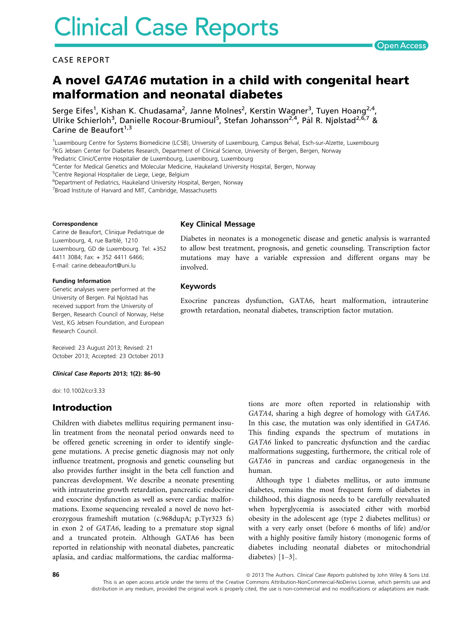## CASE REPORT

# A novel GATA6 mutation in a child with congenital heart malformation and neonatal diabetes

Serge Eifes<sup>1</sup>, Kishan K. Chudasama<sup>2</sup>, Janne Molnes<sup>2</sup>, Kerstin Wagner<sup>3</sup>, Tuyen Hoang<sup>2,4</sup>, Ulrike Schierloh<sup>3</sup>, Danielle Rocour-Brumioul<sup>5</sup>, Stefan Johansson<sup>2,4</sup>, Pål R. Njølstad<sup>2,6,7</sup> & Carine de Beaufort $1,3$ 

1 Luxembourg Centre for Systems Biomedicine (LCSB), University of Luxembourg, Campus Belval, Esch-sur-Alzette, Luxembourg <sup>2</sup>KG Jebsen Center for Diabetes Research, Department of Clinical Science, University of Bergen, Bergen, Norway

<sup>3</sup>Pediatric Clinic/Centre Hospitalier de Luxembourg, Luxembourg, Luxembourg

<sup>4</sup>Center for Medical Genetics and Molecular Medicine, Haukeland University Hospital, Bergen, Norway

5 Centre Regional Hospitalier de Liege, Liege, Belgium

6 Department of Pediatrics, Haukeland University Hospital, Bergen, Norway

<sup>7</sup> Broad Institute of Harvard and MIT, Cambridge, Massachusetts

#### Correspondence

Carine de Beaufort, Clinique Pediatrique de Luxembourg, 4, rue Barblé, 1210 Luxembourg, GD de Luxembourg. Tel: +352 4411 3084; Fax: + 352 4411 6466; E-mail: carine.debeaufort@uni.lu

#### Funding Information

Genetic analyses were performed at the University of Bergen. Pal Njolstad has received support from the University of Bergen, Research Council of Norway, Helse Vest, KG Jebsen Foundation, and European Research Council.

Received: 23 August 2013; Revised: 21 October 2013; Accepted: 23 October 2013

#### Clinical Case Reports 2013; 1(2): 86–90

doi: 10.1002/ccr3.33

## Introduction

Children with diabetes mellitus requiring permanent insulin treatment from the neonatal period onwards need to be offered genetic screening in order to identify singlegene mutations. A precise genetic diagnosis may not only influence treatment, prognosis and genetic counseling but also provides further insight in the beta cell function and pancreas development. We describe a neonate presenting with intrauterine growth retardation, pancreatic endocrine and exocrine dysfunction as well as severe cardiac malformations. Exome sequencing revealed a novel de novo heterozygous frameshift mutation (c.968dupA; p.Tyr323 fs) in exon 2 of GATA6, leading to a premature stop signal and a truncated protein. Although GATA6 has been reported in relationship with neonatal diabetes, pancreatic aplasia, and cardiac malformations, the cardiac malforma-

## Key Clinical Message

Diabetes in neonates is a monogenetic disease and genetic analysis is warranted to allow best treatment, prognosis, and genetic counseling. Transcription factor mutations may have a variable expression and different organs may be involved.

## Keywords

Exocrine pancreas dysfunction, GATA6, heart malformation, intrauterine growth retardation, neonatal diabetes, transcription factor mutation.

> tions are more often reported in relationship with GATA4, sharing a high degree of homology with GATA6. In this case, the mutation was only identified in GATA6. This finding expands the spectrum of mutations in GATA6 linked to pancreatic dysfunction and the cardiac malformations suggesting, furthermore, the critical role of GATA6 in pancreas and cardiac organogenesis in the human.

> Although type 1 diabetes mellitus, or auto immune diabetes, remains the most frequent form of diabetes in childhood, this diagnosis needs to be carefully reevaluated when hyperglycemia is associated either with morbid obesity in the adolescent age (type 2 diabetes mellitus) or with a very early onset (before 6 months of life) and/or with a highly positive family history (monogenic forms of diabetes including neonatal diabetes or mitochondrial diabetes) [1–3].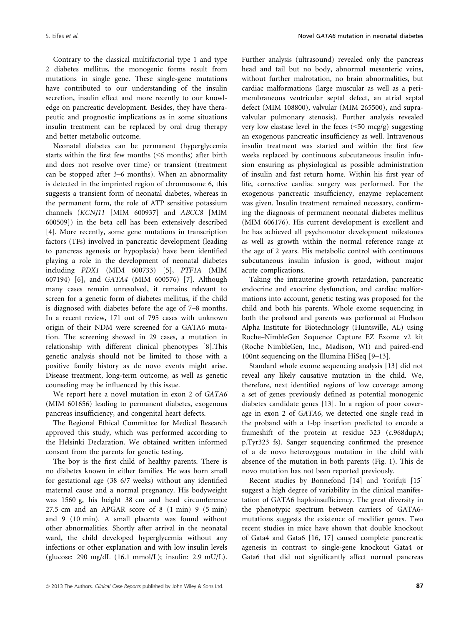Contrary to the classical multifactorial type 1 and type 2 diabetes mellitus, the monogenic forms result from mutations in single gene. These single-gene mutations have contributed to our understanding of the insulin secretion, insulin effect and more recently to our knowledge on pancreatic development. Besides, they have therapeutic and prognostic implications as in some situations insulin treatment can be replaced by oral drug therapy and better metabolic outcome.

Neonatal diabetes can be permanent (hyperglycemia starts within the first few months (<6 months) after birth and does not resolve over time) or transient (treatment can be stopped after 3–6 months). When an abnormality is detected in the imprinted region of chromosome 6, this suggests a transient form of neonatal diabetes, whereas in the permanent form, the role of ATP sensitive potassium channels (KCNJ11 [MIM 600937] and ABCC8 [MIM 600509]) in the beta cell has been extensively described [4]. More recently, some gene mutations in transcription factors (TFs) involved in pancreatic development (leading to pancreas agenesis or hypoplasia) have been identified playing a role in the development of neonatal diabetes including PDX1 (MIM 600733) [5], PTF1A (MIM 607194) [6], and GATA4 (MIM 600576) [7]. Although many cases remain unresolved, it remains relevant to screen for a genetic form of diabetes mellitus, if the child is diagnosed with diabetes before the age of 7–8 months. In a recent review, 171 out of 795 cases with unknown origin of their NDM were screened for a GATA6 mutation. The screening showed in 29 cases, a mutation in relationship with different clinical phenotypes [8].This genetic analysis should not be limited to those with a positive family history as de novo events might arise. Disease treatment, long-term outcome, as well as genetic counseling may be influenced by this issue.

We report here a novel mutation in exon 2 of GATA6 (MIM 601656) leading to permanent diabetes, exogenous pancreas insufficiency, and congenital heart defects.

The Regional Ethical Committee for Medical Research approved this study, which was performed according to the Helsinki Declaration. We obtained written informed consent from the parents for genetic testing.

The boy is the first child of healthy parents. There is no diabetes known in either families. He was born small for gestational age (38 6/7 weeks) without any identified maternal cause and a normal pregnancy. His bodyweight was 1560 g, his height 38 cm and head circumference 27.5 cm and an APGAR score of 8 (1 min) 9 (5 min) and 9 (10 min). A small placenta was found without other abnormalities. Shortly after arrival in the neonatal ward, the child developed hyperglycemia without any infections or other explanation and with low insulin levels (glucose: 290 mg/dL (16.1 mmol/L); insulin: 2.9 mU/L). Further analysis (ultrasound) revealed only the pancreas head and tail but no body, abnormal mesenteric veins, without further malrotation, no brain abnormalities, but cardiac malformations (large muscular as well as a perimembraneous ventricular septal defect, an atrial septal defect (MIM 108800), valvular (MIM 265500), and supravalvular pulmonary stenosis). Further analysis revealed very low elastase level in the feces (<50 mcg/g) suggesting an exogenous pancreatic insufficiency as well. Intravenous insulin treatment was started and within the first few weeks replaced by continuous subcutaneous insulin infusion ensuring as physiological as possible administration of insulin and fast return home. Within his first year of life, corrective cardiac surgery was performed. For the exogenous pancreatic insufficiency, enzyme replacement was given. Insulin treatment remained necessary, confirming the diagnosis of permanent neonatal diabetes mellitus (MIM 606176). His current development is excellent and he has achieved all psychomotor development milestones as well as growth within the normal reference range at the age of 2 years. His metabolic control with continuous subcutaneous insulin infusion is good, without major acute complications.

Taking the intrauterine growth retardation, pancreatic endocrine and exocrine dysfunction, and cardiac malformations into account, genetic testing was proposed for the child and both his parents. Whole exome sequencing in both the proband and parents was performed at Hudson Alpha Institute for Biotechnology (Huntsville, AL) using Roche–NimbleGen Sequence Capture EZ Exome v2 kit (Roche NimbleGen, Inc., Madison, WI) and paired-end 100nt sequencing on the Illumina HiSeq [9–13].

Standard whole exome sequencing analysis [13] did not reveal any likely causative mutation in the child. We, therefore, next identified regions of low coverage among a set of genes previously defined as potential monogenic diabetes candidate genes [13]. In a region of poor coverage in exon 2 of GATA6, we detected one single read in the proband with a 1-bp insertion predicted to encode a frameshift of the protein at residue 323 (c.968dupA; p.Tyr323 fs). Sanger sequencing confirmed the presence of a de novo heterozygous mutation in the child with absence of the mutation in both parents (Fig. 1). This de novo mutation has not been reported previously.

Recent studies by Bonnefond [14] and Yorifuji [15] suggest a high degree of variability in the clinical manifestation of GATA6 haploinsufficiency. The great diversity in the phenotypic spectrum between carriers of GATA6 mutations suggests the existence of modifier genes. Two recent studies in mice have shown that double knockout of Gata4 and Gata6 [16, 17] caused complete pancreatic agenesis in contrast to single-gene knockout Gata4 or Gata6 that did not significantly affect normal pancreas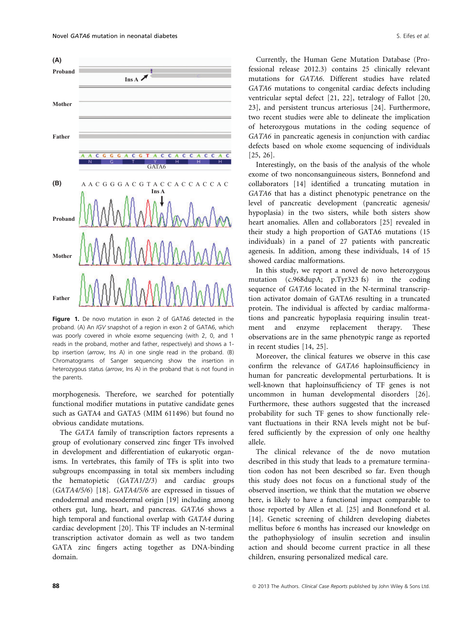

Figure 1. De novo mutation in exon 2 of GATA6 detected in the proband. (A) An IGV snapshot of a region in exon 2 of GATA6, which was poorly covered in whole exome sequencing (with 2, 0, and 1 reads in the proband, mother and father, respectively) and shows a 1 bp insertion (arrow, Ins A) in one single read in the proband. (B) Chromatograms of Sanger sequencing show the insertion in heterozygous status (arrow, Ins A) in the proband that is not found in the parents.

morphogenesis. Therefore, we searched for potentially functional modifier mutations in putative candidate genes such as GATA4 and GATA5 (MIM 611496) but found no obvious candidate mutations.

The GATA family of transcription factors represents a group of evolutionary conserved zinc finger TFs involved in development and differentiation of eukaryotic organisms. In vertebrates, this family of TFs is split into two subgroups encompassing in total six members including the hematopietic (GATA1/2/3) and cardiac groups (GATA4/5/6) [18]. GATA4/5/6 are expressed in tissues of endodermal and mesodermal origin [19] including among others gut, lung, heart, and pancreas. GATA6 shows a high temporal and functional overlap with GATA4 during cardiac development [20]. This TF includes an N-terminal transcription activator domain as well as two tandem GATA zinc fingers acting together as DNA-binding domain.

Currently, the Human Gene Mutation Database (Professional release 2012.3) contains 25 clinically relevant mutations for GATA6. Different studies have related GATA6 mutations to congenital cardiac defects including ventricular septal defect [21, 22], tetralogy of Fallot [20, 23], and persistent truncus arteriosus [24]. Furthermore, two recent studies were able to delineate the implication of heterozygous mutations in the coding sequence of GATA6 in pancreatic agenesis in conjunction with cardiac defects based on whole exome sequencing of individuals [25, 26].

Interestingly, on the basis of the analysis of the whole exome of two nonconsanguineous sisters, Bonnefond and collaborators [14] identified a truncating mutation in GATA6 that has a distinct phenotypic penetrance on the level of pancreatic development (pancreatic agenesis/ hypoplasia) in the two sisters, while both sisters show heart anomalies. Allen and collaborators [25] revealed in their study a high proportion of GATA6 mutations (15 individuals) in a panel of 27 patients with pancreatic agenesis. In addition, among these individuals, 14 of 15 showed cardiac malformations.

In this study, we report a novel de novo heterozygous mutation (c.968dupA; p.Tyr323 fs) in the coding sequence of GATA6 located in the N-terminal transcription activator domain of GATA6 resulting in a truncated protein. The individual is affected by cardiac malformations and pancreatic hypoplasia requiring insulin treatment and enzyme replacement therapy. These observations are in the same phenotypic range as reported in recent studies [14, 25].

Moreover, the clinical features we observe in this case confirm the relevance of GATA6 haploinsufficiency in human for pancreatic developmental perturbations. It is well-known that haploinsufficiency of TF genes is not uncommon in human developmental disorders [26]. Furthermore, these authors suggested that the increased probability for such TF genes to show functionally relevant fluctuations in their RNA levels might not be buffered sufficiently by the expression of only one healthy allele.

The clinical relevance of the de novo mutation described in this study that leads to a premature termination codon has not been described so far. Even though this study does not focus on a functional study of the observed insertion, we think that the mutation we observe here, is likely to have a functional impact comparable to those reported by Allen et al. [25] and Bonnefond et al. [14]. Genetic screening of children developing diabetes mellitus before 6 months has increased our knowledge on the pathophysiology of insulin secretion and insulin action and should become current practice in all these children, ensuring personalized medical care.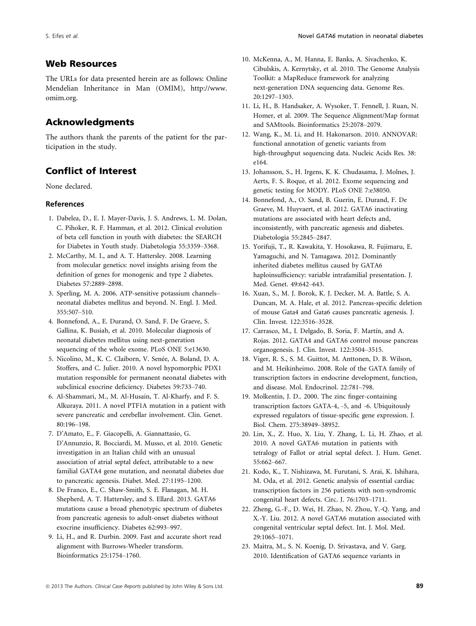# Web Resources

The URLs for data presented herein are as follows: Online Mendelian Inheritance in Man (OMIM), http://www. omim.org.

# Acknowledgments

The authors thank the parents of the patient for the participation in the study.

# Conflict of Interest

None declared.

### References

- 1. Dabelea, D., E. J. Mayer-Davis, J. S. Andrews, L. M. Dolan, C. Pihoker, R. F. Hamman, et al. 2012. Clinical evolution of beta cell function in youth with diabetes: the SEARCH for Diabetes in Youth study. Diabetologia 55:3359–3368.
- 2. McCarthy, M. I., and A. T. Hattersley. 2008. Learning from molecular genetics: novel insights arising from the definition of genes for monogenic and type 2 diabetes. Diabetes 57:2889–2898.
- 3. Sperling, M. A. 2006. ATP-sensitive potassium channels– neonatal diabetes mellitus and beyond. N. Engl. J. Med. 355:507–510.
- 4. Bonnefond, A., E. Durand, O. Sand, F. De Graeve, S. Gallina, K. Busiah, et al. 2010. Molecular diagnosis of neonatal diabetes mellitus using next-generation sequencing of the whole exome. PLoS ONE 5:e13630.
- 5. Nicolino, M., K. C. Claiborn, V. Senée, A. Boland, D. A. Stoffers, and C. Julier. 2010. A novel hypomorphic PDX1 mutation responsible for permanent neonatal diabetes with subclinical exocrine deficiency. Diabetes 59:733–740.
- 6. Al-Shammari, M., M. Al-Husain, T. Al-Kharfy, and F. S. Alkuraya. 2011. A novel PTF1A mutation in a patient with severe pancreatic and cerebellar involvement. Clin. Genet. 80:196–198.
- 7. D'Amato, E., F. Giacopelli, A. Giannattasio, G. D'Annunzio, R. Bocciardi, M. Musso, et al. 2010. Genetic investigation in an Italian child with an unusual association of atrial septal defect, attributable to a new familial GATA4 gene mutation, and neonatal diabetes due to pancreatic agenesis. Diabet. Med. 27:1195–1200.
- 8. De Franco, E., C. Shaw-Smith, S. E. Flanagan, M. H. Shepherd, A. T. Hattersley, and S. Ellard. 2013. GATA6 mutations cause a broad phenotypic spectrum of diabetes from pancreatic agenesis to adult-onset diabetes without exocrine insufficiency. Diabetes 62:993–997.
- 9. Li, H., and R. Durbin. 2009. Fast and accurate short read alignment with Burrows-Wheeler transform. Bioinformatics 25:1754–1760.
- 10. McKenna, A., M. Hanna, E. Banks, A. Sivachenko, K. Cibulskis, A. Kernytsky, et al. 2010. The Genome Analysis Toolkit: a MapReduce framework for analyzing next-generation DNA sequencing data. Genome Res. 20:1297–1303.
- 11. Li, H., B. Handsaker, A. Wysoker, T. Fennell, J. Ruan, N. Homer, et al. 2009. The Sequence Alignment/Map format and SAMtools. Bioinformatics 25:2078–2079.
- 12. Wang, K., M. Li, and H. Hakonarson. 2010. ANNOVAR: functional annotation of genetic variants from high-throughput sequencing data. Nucleic Acids Res. 38: e164.
- 13. Johansson, S., H. Irgens, K. K. Chudasama, J. Molnes, J. Aerts, F. S. Roque, et al. 2012. Exome sequencing and genetic testing for MODY. PLoS ONE 7:e38050.
- 14. Bonnefond, A., O. Sand, B. Guerin, E. Durand, F. De Graeve, M. Huyvaert, et al. 2012. GATA6 inactivating mutations are associated with heart defects and, inconsistently, with pancreatic agenesis and diabetes. Diabetologia 55:2845–2847.
- 15. Yorifuji, T., R. Kawakita, Y. Hosokawa, R. Fujimaru, E. Yamaguchi, and N. Tamagawa. 2012. Dominantly inherited diabetes mellitus caused by GATA6 haploinsufficiency: variable intrafamilial presentation. J. Med. Genet. 49:642–643.
- 16. Xuan, S., M. J. Borok, K. J. Decker, M. A. Battle, S. A. Duncan, M. A. Hale, et al. 2012. Pancreas-specific deletion of mouse Gata4 and Gata6 causes pancreatic agenesis. J. Clin. Invest. 122:3516–3528.
- 17. Carrasco, M., I. Delgado, B. Soria, F. Martín, and A. Rojas. 2012. GATA4 and GATA6 control mouse pancreas organogenesis. J. Clin. Invest. 122:3504–3515.
- 18. Viger, R. S., S. M. Guittot, M. Anttonen, D. B. Wilson, and M. Heikinheimo. 2008. Role of the GATA family of transcription factors in endocrine development, function, and disease. Mol. Endocrinol. 22:781–798.
- 19. Molkentin, J. D.. 2000. The zinc finger-containing transcription factors GATA-4, -5, and -6. Ubiquitously expressed regulators of tissue-specific gene expression. J. Biol. Chem. 275:38949–38952.
- 20. Lin, X., Z. Huo, X. Liu, Y. Zhang, L. Li, H. Zhao, et al. 2010. A novel GATA6 mutation in patients with tetralogy of Fallot or atrial septal defect. J. Hum. Genet. 55:662–667.
- 21. Kodo, K., T. Nishizawa, M. Furutani, S. Arai, K. Ishihara, M. Oda, et al. 2012. Genetic analysis of essential cardiac transcription factors in 256 patients with non-syndromic congenital heart defects. Circ. J. 76:1703–1711.
- 22. Zheng, G.-F., D. Wei, H. Zhao, N. Zhou, Y.-Q. Yang, and X.-Y. Liu. 2012. A novel GATA6 mutation associated with congenital ventricular septal defect. Int. J. Mol. Med. 29:1065–1071.
- 23. Maitra, M., S. N. Koenig, D. Srivastava, and V. Garg. 2010. Identification of GATA6 sequence variants in